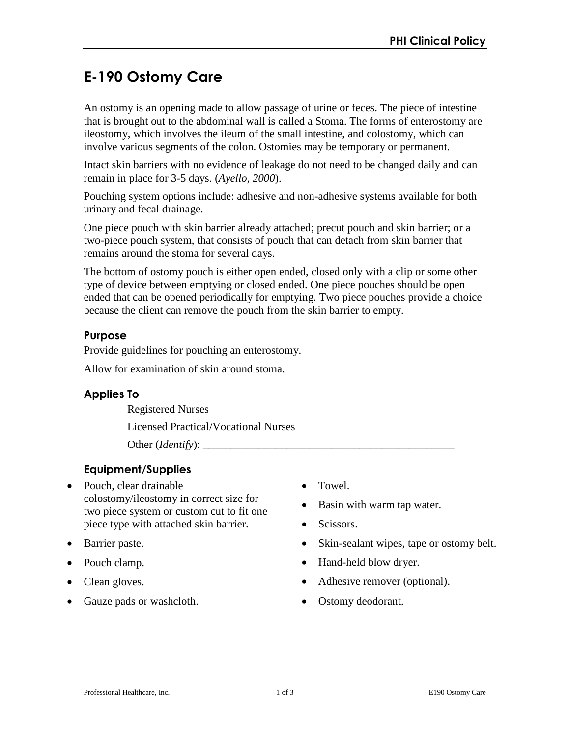# **E-190 Ostomy Care**

An ostomy is an opening made to allow passage of urine or feces. The piece of intestine that is brought out to the abdominal wall is called a Stoma. The forms of enterostomy are ileostomy, which involves the ileum of the small intestine, and colostomy, which can involve various segments of the colon. Ostomies may be temporary or permanent.

Intact skin barriers with no evidence of leakage do not need to be changed daily and can remain in place for 3-5 days. (*Ayello, 2000*).

Pouching system options include: adhesive and non-adhesive systems available for both urinary and fecal drainage.

One piece pouch with skin barrier already attached; precut pouch and skin barrier; or a two-piece pouch system, that consists of pouch that can detach from skin barrier that remains around the stoma for several days.

The bottom of ostomy pouch is either open ended, closed only with a clip or some other type of device between emptying or closed ended. One piece pouches should be open ended that can be opened periodically for emptying. Two piece pouches provide a choice because the client can remove the pouch from the skin barrier to empty.

# **Purpose**

Provide guidelines for pouching an enterostomy.

Allow for examination of skin around stoma.

## **Applies To**

Registered Nurses

Licensed Practical/Vocational Nurses

Other (*Identify*):

# **Equipment/Supplies**

- Pouch, clear drainable colostomy/ileostomy in correct size for two piece system or custom cut to fit one piece type with attached skin barrier.
- Barrier paste.
- Pouch clamp.
- Clean gloves.
- Gauze pads or washcloth.
- Towel.
- Basin with warm tap water.
- Scissors.
- Skin-sealant wipes, tape or ostomy belt.
- Hand-held blow dryer.
- Adhesive remover (optional).
- Ostomy deodorant.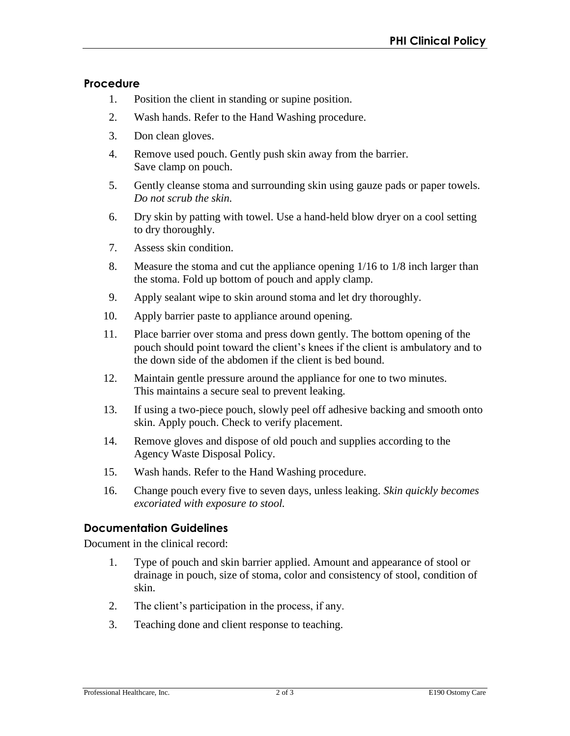#### **Procedure**

- 1. Position the client in standing or supine position.
- 2. Wash hands. Refer to the Hand Washing procedure.
- 3. Don clean gloves.
- 4. Remove used pouch. Gently push skin away from the barrier. Save clamp on pouch.
- 5. Gently cleanse stoma and surrounding skin using gauze pads or paper towels. *Do not scrub the skin.*
- 6. Dry skin by patting with towel. Use a hand-held blow dryer on a cool setting to dry thoroughly.
- 7. Assess skin condition.
- 8. Measure the stoma and cut the appliance opening 1/16 to 1/8 inch larger than the stoma. Fold up bottom of pouch and apply clamp.
- 9. Apply sealant wipe to skin around stoma and let dry thoroughly.
- 10. Apply barrier paste to appliance around opening.
- 11. Place barrier over stoma and press down gently. The bottom opening of the pouch should point toward the client's knees if the client is ambulatory and to the down side of the abdomen if the client is bed bound.
- 12. Maintain gentle pressure around the appliance for one to two minutes. This maintains a secure seal to prevent leaking.
- 13. If using a two-piece pouch, slowly peel off adhesive backing and smooth onto skin. Apply pouch. Check to verify placement.
- 14. Remove gloves and dispose of old pouch and supplies according to the Agency Waste Disposal Policy.
- 15. Wash hands. Refer to the Hand Washing procedure.
- 16. Change pouch every five to seven days, unless leaking. *Skin quickly becomes excoriated with exposure to stool.*

## **Documentation Guidelines**

Document in the clinical record:

- 1. Type of pouch and skin barrier applied. Amount and appearance of stool or drainage in pouch, size of stoma, color and consistency of stool, condition of skin.
- 2. The client's participation in the process, if any.
- 3. Teaching done and client response to teaching.